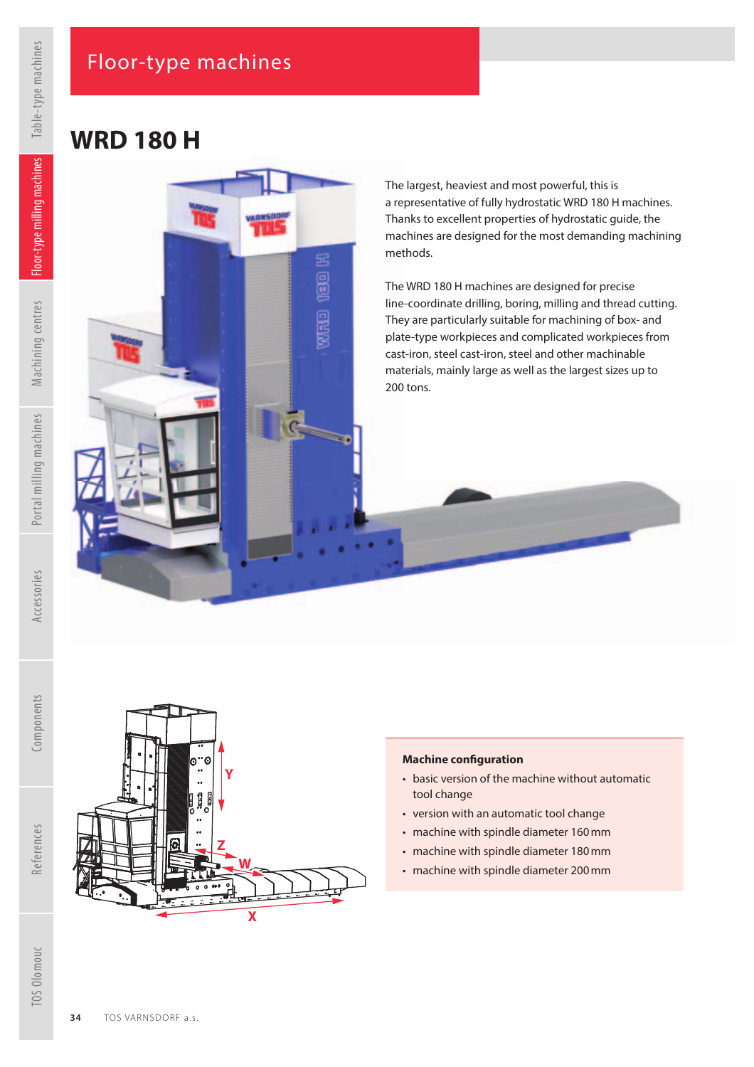VARNSOOI n e t

hioso offin

# **WRD 180 H**

The largest, heaviest and most powerful, this is a representative of fully hydrostatic WRD 180 H machines. Thanks to excellent properties of hydrostatic guide, the machines are designed for the most demanding machining methods.

The WRD 180 H machines are designed for precise line-coordinate drilling, boring, milling and thread cutting. They are particularly suitable for machining of box- and plate-type workpieces and complicated workpieces from cast-iron, steel cast-iron, steel and other machinable materials, mainly large as well as the largest sizes up to 200 tons.



**Y**

**Z**

ſ

**W**

### **Machine conf guration**

- basic version of the machine without automatic tool change
- version with an automatic tool change
- machine with spindle diameter 160 mm
- machine with spindle diameter 180 mm
- machine with spindle diameter 200 mm

Components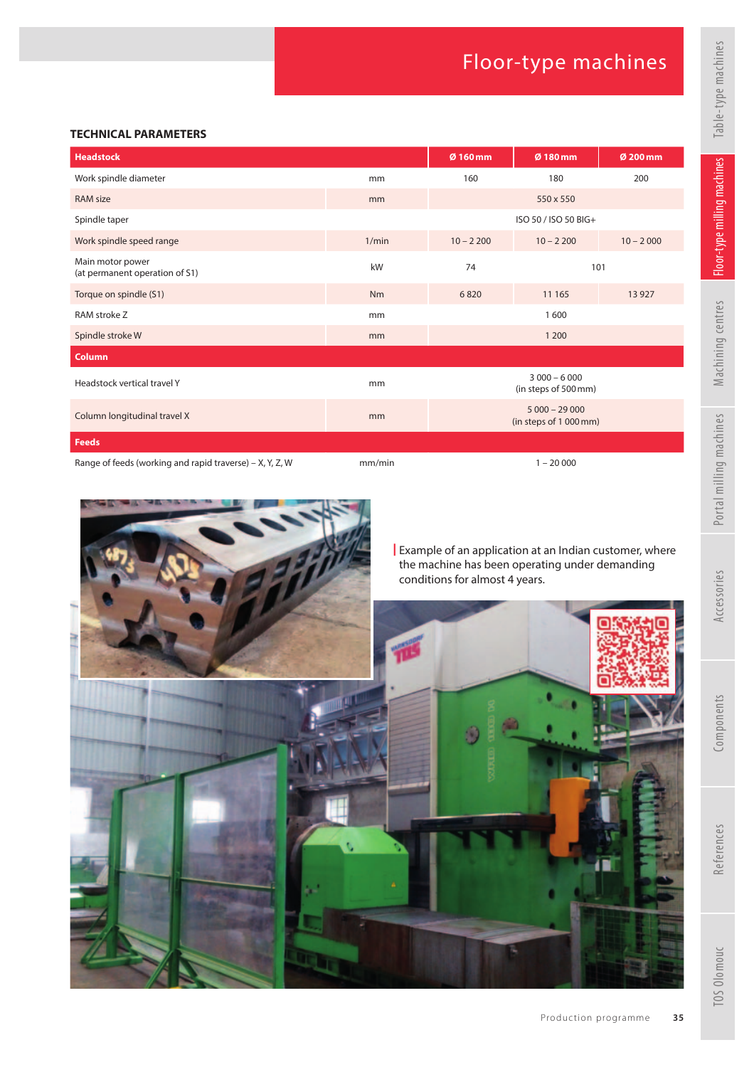#### **TECHNICAL PARAMETERS**

| <b>Headstock</b>                                         |        | Ø 160 mm                                 | Ø 180 mm    | Ø 200 mm    |
|----------------------------------------------------------|--------|------------------------------------------|-------------|-------------|
| Work spindle diameter                                    | mm     | 160                                      | 180         | 200         |
| <b>RAM size</b>                                          | mm     |                                          | 550 x 550   |             |
| Spindle taper                                            |        | ISO 50 / ISO 50 BIG+                     |             |             |
| Work spindle speed range                                 | 1/min  | $10 - 2200$                              | $10 - 2200$ | $10 - 2000$ |
| Main motor power<br>(at permanent operation of S1)       | kW     | 74                                       | 101         |             |
| Torque on spindle (S1)                                   | Nm     | 6820                                     | 11 165      | 13 9 27     |
| RAM stroke Z                                             | mm     | 1600                                     |             |             |
| Spindle stroke W                                         | mm     | 1 200                                    |             |             |
| Column                                                   |        |                                          |             |             |
| Headstock vertical travel Y                              | mm     | $3000 - 6000$<br>(in steps of 500 mm)    |             |             |
| Column longitudinal travel X                             | mm     | $5000 - 29000$<br>(in steps of 1 000 mm) |             |             |
| <b>Feeds</b>                                             |        |                                          |             |             |
| Range of feeds (working and rapid traverse) – X, Y, Z, W | mm/min | $1 - 20000$                              |             |             |



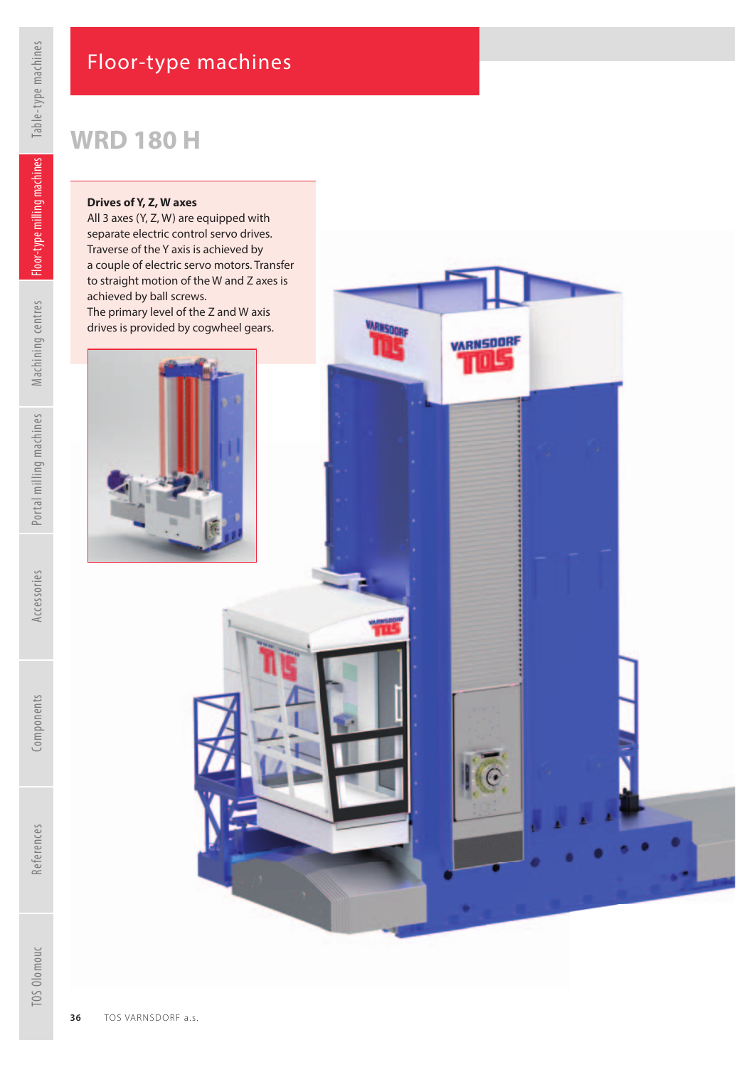# **WRD 180 H**

#### **Drives of Y, Z, W axes**

All 3 axes (Y, Z, W) are equipped with separate electric control servo drives. Traverse of the Y axis is achieved by a couple of electric servo motors. Transfer to straight motion of the W and Z axes is achieved by ball screws. The primary level of the Z and W axis

drives is provided by cogwheel gears.